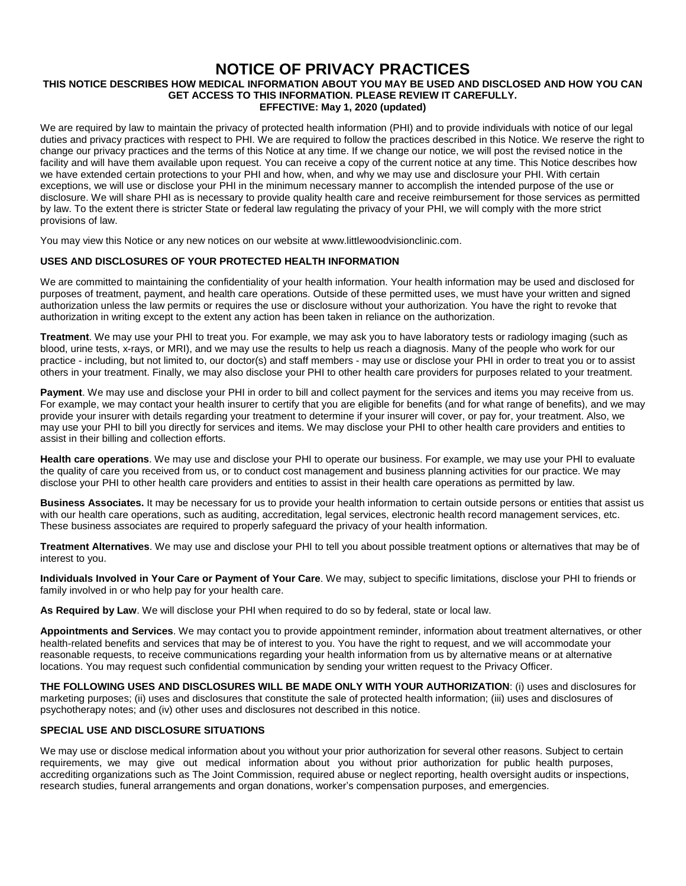# **NOTICE OF PRIVACY PRACTICES**

#### **THIS NOTICE DESCRIBES HOW MEDICAL INFORMATION ABOUT YOU MAY BE USED AND DISCLOSED AND HOW YOU CAN GET ACCESS TO THIS INFORMATION. PLEASE REVIEW IT CAREFULLY. EFFECTIVE: May 1, 2020 (updated)**

We are required by law to maintain the privacy of protected health information (PHI) and to provide individuals with notice of our legal duties and privacy practices with respect to PHI. We are required to follow the practices described in this Notice. We reserve the right to change our privacy practices and the terms of this Notice at any time. If we change our notice, we will post the revised notice in the facility and will have them available upon request. You can receive a copy of the current notice at any time. This Notice describes how we have extended certain protections to your PHI and how, when, and why we may use and disclosure your PHI. With certain exceptions, we will use or disclose your PHI in the minimum necessary manner to accomplish the intended purpose of the use or disclosure. We will share PHI as is necessary to provide quality health care and receive reimbursement for those services as permitted by law. To the extent there is stricter State or federal law regulating the privacy of your PHI, we will comply with the more strict provisions of law.

You may view this Notice or any new notices on our website at www.littlewoodvisionclinic.com.

## **USES AND DISCLOSURES OF YOUR PROTECTED HEALTH INFORMATION**

We are committed to maintaining the confidentiality of your health information. Your health information may be used and disclosed for purposes of treatment, payment, and health care operations. Outside of these permitted uses, we must have your written and signed authorization unless the law permits or requires the use or disclosure without your authorization. You have the right to revoke that authorization in writing except to the extent any action has been taken in reliance on the authorization.

**Treatment**. We may use your PHI to treat you. For example, we may ask you to have laboratory tests or radiology imaging (such as blood, urine tests, x-rays, or MRI), and we may use the results to help us reach a diagnosis. Many of the people who work for our practice - including, but not limited to, our doctor(s) and staff members - may use or disclose your PHI in order to treat you or to assist others in your treatment. Finally, we may also disclose your PHI to other health care providers for purposes related to your treatment.

**Payment**. We may use and disclose your PHI in order to bill and collect payment for the services and items you may receive from us. For example, we may contact your health insurer to certify that you are eligible for benefits (and for what range of benefits), and we may provide your insurer with details regarding your treatment to determine if your insurer will cover, or pay for, your treatment. Also, we may use your PHI to bill you directly for services and items. We may disclose your PHI to other health care providers and entities to assist in their billing and collection efforts.

**Health care operations**. We may use and disclose your PHI to operate our business. For example, we may use your PHI to evaluate the quality of care you received from us, or to conduct cost management and business planning activities for our practice. We may disclose your PHI to other health care providers and entities to assist in their health care operations as permitted by law.

**Business Associates.** It may be necessary for us to provide your health information to certain outside persons or entities that assist us with our health care operations, such as auditing, accreditation, legal services, electronic health record management services, etc. These business associates are required to properly safeguard the privacy of your health information.

**Treatment Alternatives**. We may use and disclose your PHI to tell you about possible treatment options or alternatives that may be of interest to you.

**Individuals Involved in Your Care or Payment of Your Care**. We may, subject to specific limitations, disclose your PHI to friends or family involved in or who help pay for your health care.

**As Required by Law**. We will disclose your PHI when required to do so by federal, state or local law.

**Appointments and Services**. We may contact you to provide appointment reminder, information about treatment alternatives, or other health-related benefits and services that may be of interest to you. You have the right to request, and we will accommodate your reasonable requests, to receive communications regarding your health information from us by alternative means or at alternative locations. You may request such confidential communication by sending your written request to the Privacy Officer.

**THE FOLLOWING USES AND DISCLOSURES WILL BE MADE ONLY WITH YOUR AUTHORIZATION**: (i) uses and disclosures for marketing purposes; (ii) uses and disclosures that constitute the sale of protected health information; (iii) uses and disclosures of psychotherapy notes; and (iv) other uses and disclosures not described in this notice.

### **SPECIAL USE AND DISCLOSURE SITUATIONS**

We may use or disclose medical information about you without your prior authorization for several other reasons. Subject to certain requirements, we may give out medical information about you without prior authorization for public health purposes, accrediting organizations such as The Joint Commission, required abuse or neglect reporting, health oversight audits or inspections, research studies, funeral arrangements and organ donations, worker's compensation purposes, and emergencies.